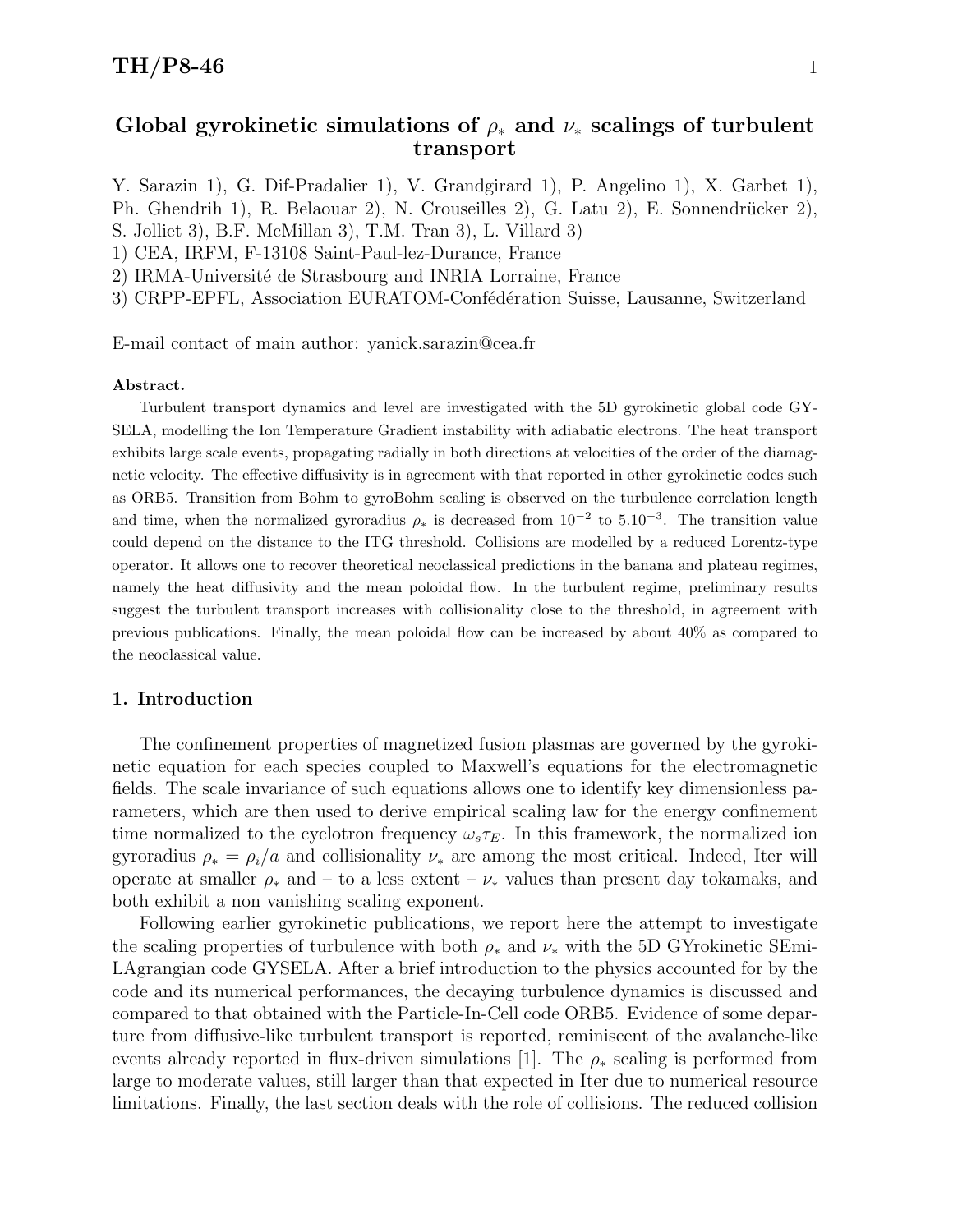## Global gyrokinetic simulations of  $\rho_*$  and  $\nu_*$  scalings of turbulent transport

Y. Sarazin 1), G. Dif-Pradalier 1), V. Grandgirard 1), P. Angelino 1), X. Garbet 1), Ph. Ghendrih 1), R. Belaouar 2), N. Crouseilles 2), G. Latu 2), E. Sonnendrücker 2), S. Jolliet 3), B.F. McMillan 3), T.M. Tran 3), L. Villard 3) 1) CEA, IRFM, F-13108 Saint-Paul-lez-Durance, France

2) IRMA-Université de Strasbourg and INRIA Lorraine, France

3) CRPP-EPFL, Association EURATOM-Confédération Suisse, Lausanne, Switzerland

E-mail contact of main author: yanick.sarazin@cea.fr

#### Abstract.

Turbulent transport dynamics and level are investigated with the 5D gyrokinetic global code GY-SELA, modelling the Ion Temperature Gradient instability with adiabatic electrons. The heat transport exhibits large scale events, propagating radially in both directions at velocities of the order of the diamagnetic velocity. The effective diffusivity is in agreement with that reported in other gyrokinetic codes such as ORB5. Transition from Bohm to gyroBohm scaling is observed on the turbulence correlation length and time, when the normalized gyroradius  $\rho_*$  is decreased from 10<sup>-2</sup> to 5.10<sup>-3</sup>. The transition value could depend on the distance to the ITG threshold. Collisions are modelled by a reduced Lorentz-type operator. It allows one to recover theoretical neoclassical predictions in the banana and plateau regimes, namely the heat diffusivity and the mean poloidal flow. In the turbulent regime, preliminary results suggest the turbulent transport increases with collisionality close to the threshold, in agreement with previous publications. Finally, the mean poloidal flow can be increased by about 40% as compared to the neoclassical value.

#### 1. Introduction

The confinement properties of magnetized fusion plasmas are governed by the gyrokinetic equation for each species coupled to Maxwell's equations for the electromagnetic fields. The scale invariance of such equations allows one to identify key dimensionless parameters, which are then used to derive empirical scaling law for the energy confinement time normalized to the cyclotron frequency  $\omega_s \tau_E$ . In this framework, the normalized ion gyroradius  $\rho_* = \rho_i/a$  and collisionality  $\nu_*$  are among the most critical. Indeed, Iter will operate at smaller  $\rho_*$  and – to a less extent –  $\nu_*$  values than present day tokamaks, and both exhibit a non vanishing scaling exponent.

Following earlier gyrokinetic publications, we report here the attempt to investigate the scaling properties of turbulence with both  $\rho_*$  and  $\nu_*$  with the 5D GYrokinetic SEmi-LAgrangian code GYSELA. After a brief introduction to the physics accounted for by the code and its numerical performances, the decaying turbulence dynamics is discussed and compared to that obtained with the Particle-In-Cell code ORB5. Evidence of some departure from diffusive-like turbulent transport is reported, reminiscent of the avalanche-like events already reported in flux-driven simulations [1]. The  $\rho_*$  scaling is performed from large to moderate values, still larger than that expected in Iter due to numerical resource limitations. Finally, the last section deals with the role of collisions. The reduced collision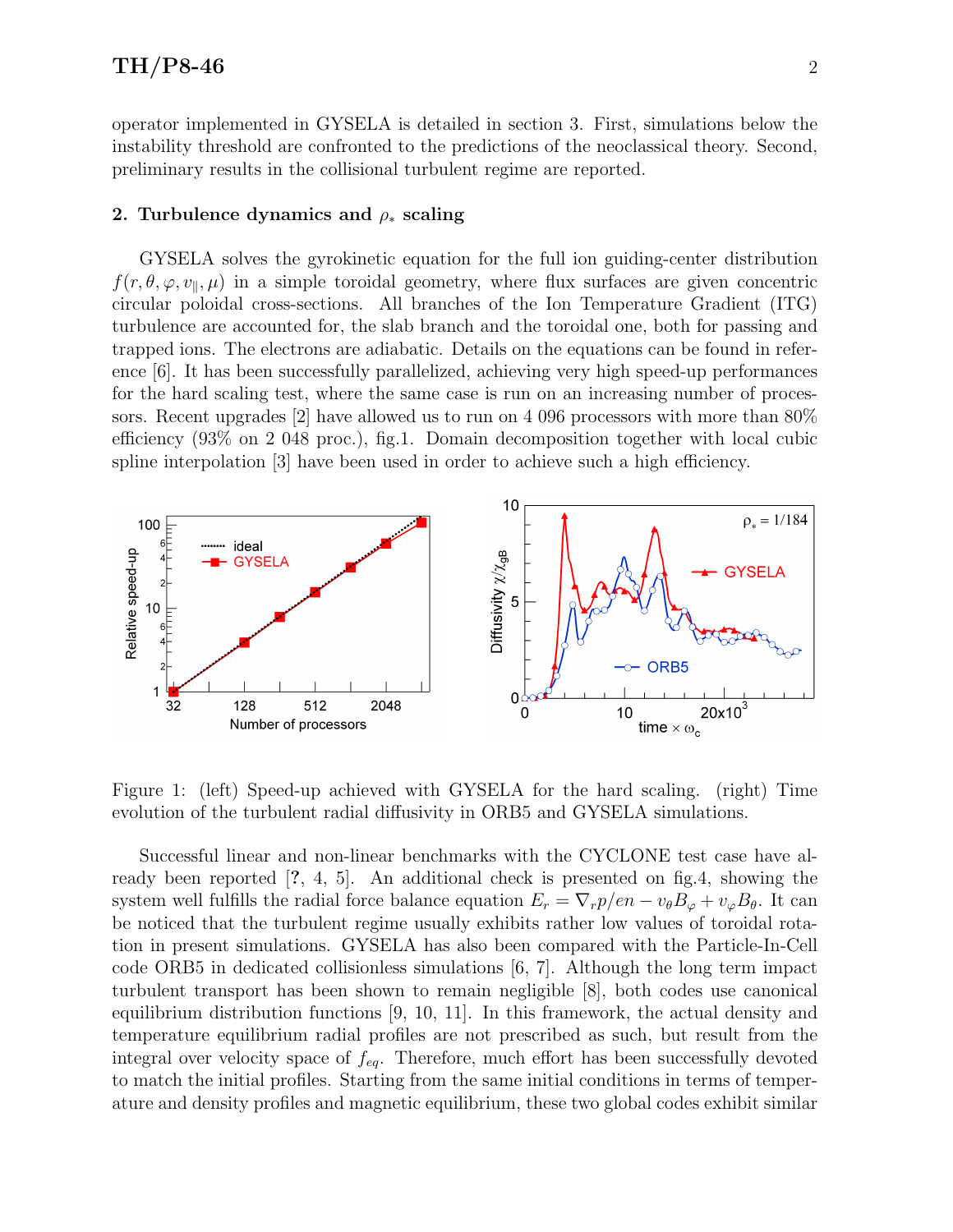operator implemented in GYSELA is detailed in section 3. First, simulations below the instability threshold are confronted to the predictions of the neoclassical theory. Second, preliminary results in the collisional turbulent regime are reported.

#### 2. Turbulence dynamics and  $\rho_*$  scaling

GYSELA solves the gyrokinetic equation for the full ion guiding-center distribution  $f(r, \theta, \varphi, v_{\parallel}, \mu)$  in a simple toroidal geometry, where flux surfaces are given concentric circular poloidal cross-sections. All branches of the Ion Temperature Gradient (ITG) turbulence are accounted for, the slab branch and the toroidal one, both for passing and trapped ions. The electrons are adiabatic. Details on the equations can be found in reference [6]. It has been successfully parallelized, achieving very high speed-up performances for the hard scaling test, where the same case is run on an increasing number of processors. Recent upgrades [2] have allowed us to run on 4 096 processors with more than 80% efficiency (93% on 2 048 proc.), fig.1. Domain decomposition together with local cubic spline interpolation [3] have been used in order to achieve such a high efficiency.



Figure 1: (left) Speed-up achieved with GYSELA for the hard scaling. (right) Time evolution of the turbulent radial diffusivity in ORB5 and GYSELA simulations.

Successful linear and non-linear benchmarks with the CYCLONE test case have already been reported [?, 4, 5]. An additional check is presented on fig.4, showing the system well fulfills the radial force balance equation  $E_r = \nabla_r p/en - v_\theta B_\phi + v_\varphi B_\theta$ . It can be noticed that the turbulent regime usually exhibits rather low values of toroidal rotation in present simulations. GYSELA has also been compared with the Particle-In-Cell code ORB5 in dedicated collisionless simulations [6, 7]. Although the long term impact turbulent transport has been shown to remain negligible [8], both codes use canonical equilibrium distribution functions [9, 10, 11]. In this framework, the actual density and temperature equilibrium radial profiles are not prescribed as such, but result from the integral over velocity space of  $f_{eq}$ . Therefore, much effort has been successfully devoted to match the initial profiles. Starting from the same initial conditions in terms of temperature and density profiles and magnetic equilibrium, these two global codes exhibit similar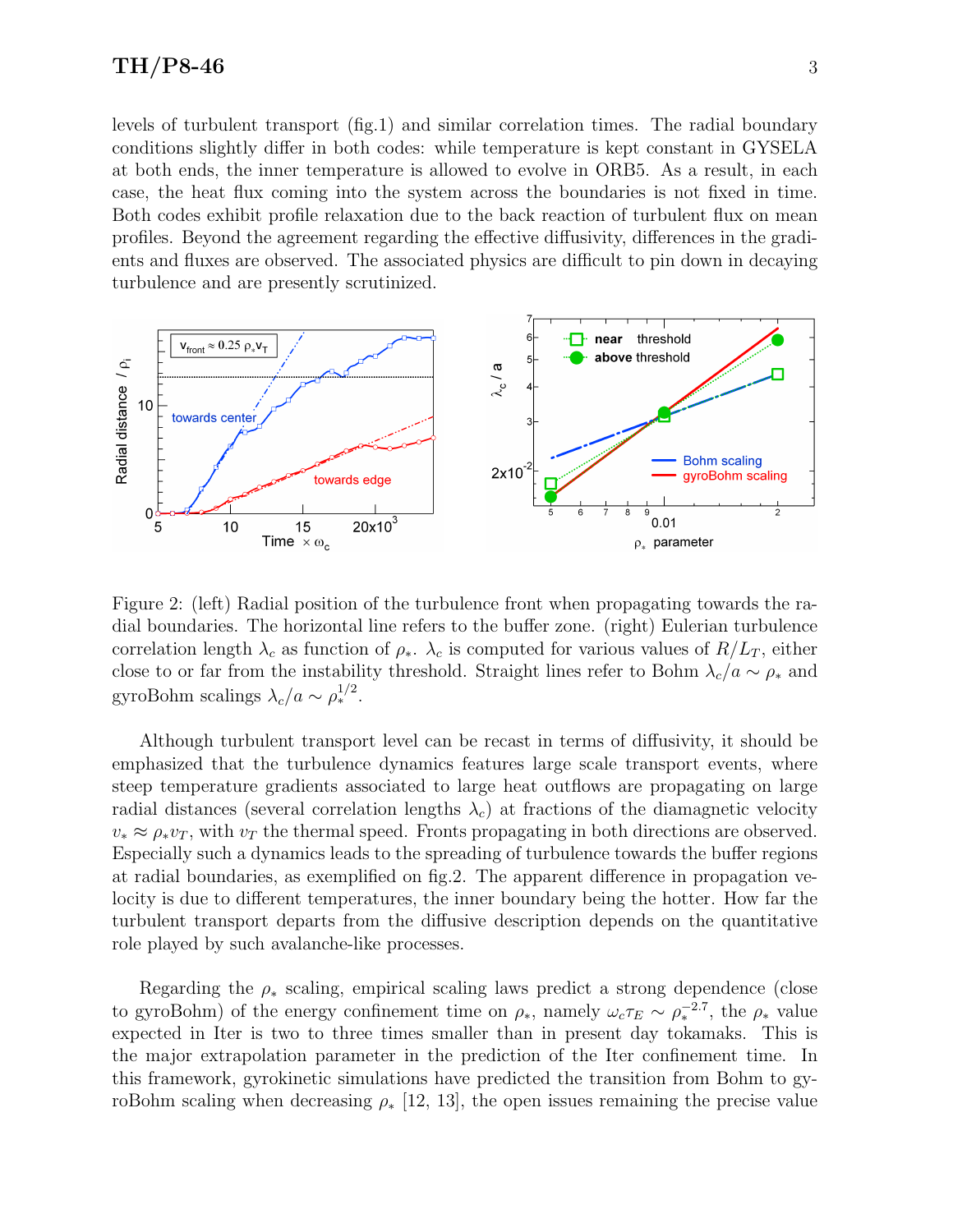levels of turbulent transport (fig.1) and similar correlation times. The radial boundary conditions slightly differ in both codes: while temperature is kept constant in GYSELA at both ends, the inner temperature is allowed to evolve in ORB5. As a result, in each case, the heat flux coming into the system across the boundaries is not fixed in time. Both codes exhibit profile relaxation due to the back reaction of turbulent flux on mean profiles. Beyond the agreement regarding the effective diffusivity, differences in the gradients and fluxes are observed. The associated physics are difficult to pin down in decaying turbulence and are presently scrutinized.



Figure 2: (left) Radial position of the turbulence front when propagating towards the radial boundaries. The horizontal line refers to the buffer zone. (right) Eulerian turbulence correlation length  $\lambda_c$  as function of  $\rho_*$ .  $\lambda_c$  is computed for various values of  $R/L_T$ , either close to or far from the instability threshold. Straight lines refer to Bohm  $\lambda_c/a \sim \rho_*$  and gyroBohm scalings  $\lambda_c/a \sim \rho_*^{1/2}$ .

Although turbulent transport level can be recast in terms of diffusivity, it should be emphasized that the turbulence dynamics features large scale transport events, where steep temperature gradients associated to large heat outflows are propagating on large radial distances (several correlation lengths  $\lambda_c$ ) at fractions of the diamagnetic velocity  $v_* \approx \rho_* v_T$ , with  $v_T$  the thermal speed. Fronts propagating in both directions are observed. Especially such a dynamics leads to the spreading of turbulence towards the buffer regions at radial boundaries, as exemplified on fig.2. The apparent difference in propagation velocity is due to different temperatures, the inner boundary being the hotter. How far the turbulent transport departs from the diffusive description depends on the quantitative role played by such avalanche-like processes.

Regarding the  $\rho_*$  scaling, empirical scaling laws predict a strong dependence (close to gyroBohm) of the energy confinement time on  $\rho_*$ , namely  $\omega_c \tau_E \sim \rho_*^{-2.7}$ , the  $\rho_*$  value expected in Iter is two to three times smaller than in present day tokamaks. This is the major extrapolation parameter in the prediction of the Iter confinement time. In this framework, gyrokinetic simulations have predicted the transition from Bohm to gyroBohm scaling when decreasing  $\rho_*$  [12, 13], the open issues remaining the precise value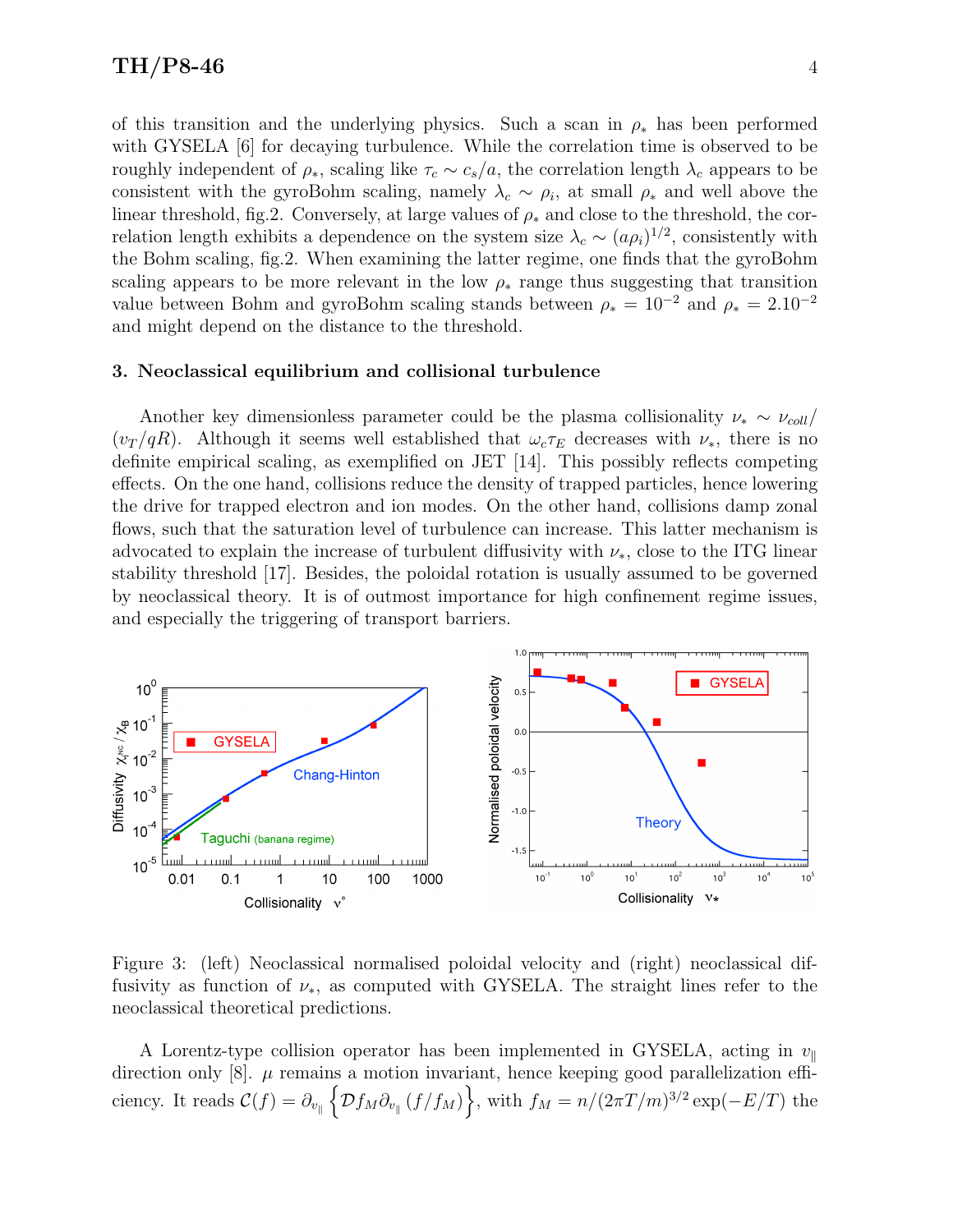of this transition and the underlying physics. Such a scan in  $\rho_*$  has been performed with GYSELA  $\left[6\right]$  for decaying turbulence. While the correlation time is observed to be roughly independent of  $\rho_*$ , scaling like  $\tau_c \sim c_s/a$ , the correlation length  $\lambda_c$  appears to be consistent with the gyroBohm scaling, namely  $\lambda_c \sim \rho_i$ , at small  $\rho_*$  and well above the linear threshold, fig.2. Conversely, at large values of  $\rho_*$  and close to the threshold, the correlation length exhibits a dependence on the system size  $\lambda_c \sim (a\rho_i)^{1/2}$ , consistently with the Bohm scaling, fig.2. When examining the latter regime, one finds that the gyroBohm scaling appears to be more relevant in the low  $\rho_*$  range thus suggesting that transition value between Bohm and gyroBohm scaling stands between  $\rho_* = 10^{-2}$  and  $\rho_* = 2.10^{-2}$ and might depend on the distance to the threshold.

#### 3. Neoclassical equilibrium and collisional turbulence

Another key dimensionless parameter could be the plasma collisionality  $\nu_* \sim \nu_{coll}/$  $(v_T/qR)$ . Although it seems well established that  $\omega_c \tau_E$  decreases with  $\nu_*$ , there is no definite empirical scaling, as exemplified on JET [14]. This possibly reflects competing effects. On the one hand, collisions reduce the density of trapped particles, hence lowering the drive for trapped electron and ion modes. On the other hand, collisions damp zonal flows, such that the saturation level of turbulence can increase. This latter mechanism is advocated to explain the increase of turbulent diffusivity with  $\nu_*$ , close to the ITG linear stability threshold [17]. Besides, the poloidal rotation is usually assumed to be governed by neoclassical theory. It is of outmost importance for high confinement regime issues, and especially the triggering of transport barriers.



Figure 3: (left) Neoclassical normalised poloidal velocity and (right) neoclassical diffusivity as function of  $\nu_{*}$ , as computed with GYSELA. The straight lines refer to the neoclassical theoretical predictions.

A Lorentz-type collision operator has been implemented in GYSELA, acting in  $v_{\parallel}$ direction only  $[8]$ .  $\mu$  remains a motion invariant, hence keeping good parallelization efficiency. It reads  $\mathcal{C}(f) = \partial_{v_{\parallel}} \left\{ \mathcal{D}f_M \partial_{v_{\parallel}} (f/f_M) \right\}$ , with  $f_M = n/(2\pi T/m)^{3/2} \exp(-E/T)$  the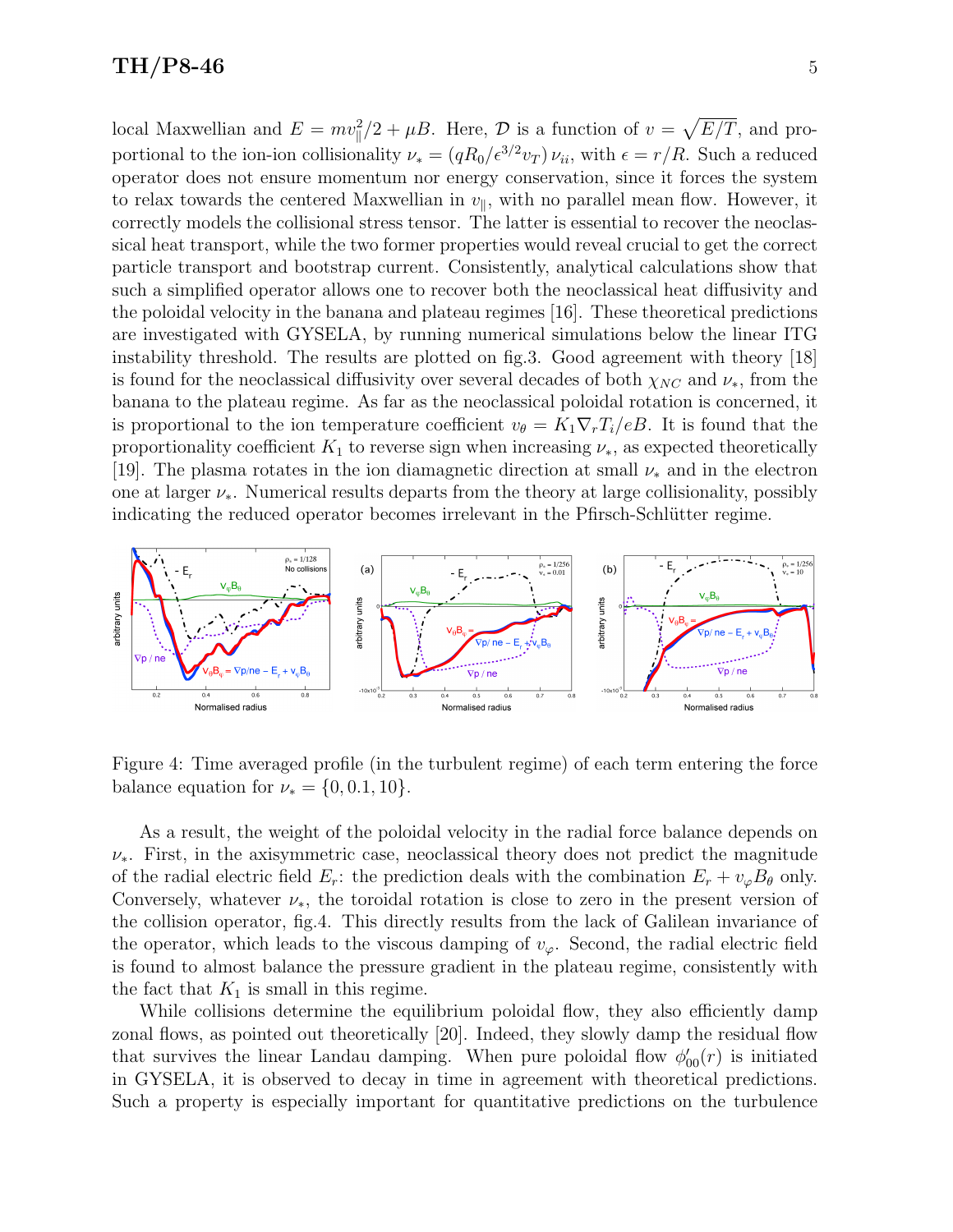### $TH/P8-46$  5

local Maxwellian and  $E = mv_{\parallel}^2/2 + \mu B$ . Here,  $\mathcal{D}$  is a function of  $v = \sqrt{E/T}$ , and proportional to the ion-ion collisionality  $\nu_* = (qR_0/\epsilon^{3/2}v_T)\nu_{ii}$ , with  $\epsilon = r/R$ . Such a reduced operator does not ensure momentum nor energy conservation, since it forces the system to relax towards the centered Maxwellian in  $v_{\parallel}$ , with no parallel mean flow. However, it correctly models the collisional stress tensor. The latter is essential to recover the neoclassical heat transport, while the two former properties would reveal crucial to get the correct particle transport and bootstrap current. Consistently, analytical calculations show that such a simplified operator allows one to recover both the neoclassical heat diffusivity and the poloidal velocity in the banana and plateau regimes [16]. These theoretical predictions are investigated with GYSELA, by running numerical simulations below the linear ITG instability threshold. The results are plotted on fig.3. Good agreement with theory [18] is found for the neoclassical diffusivity over several decades of both  $\chi_{NC}$  and  $\nu_*$ , from the banana to the plateau regime. As far as the neoclassical poloidal rotation is concerned, it is proportional to the ion temperature coefficient  $v_{\theta} = K_1 \nabla_r T_i / eB$ . It is found that the proportionality coefficient  $K_1$  to reverse sign when increasing  $\nu_*$ , as expected theoretically [19]. The plasma rotates in the ion diamagnetic direction at small  $\nu_*$  and in the electron one at larger  $\nu_*$ . Numerical results departs from the theory at large collisionality, possibly indicating the reduced operator becomes irrelevant in the Pfirsch-Schlütter regime.



Figure 4: Time averaged profile (in the turbulent regime) of each term entering the force balance equation for  $\nu_* = \{0, 0.1, 10\}.$ 

As a result, the weight of the poloidal velocity in the radial force balance depends on  $\nu_{*}$ . First, in the axisymmetric case, neoclassical theory does not predict the magnitude of the radial electric field  $E_r$ : the prediction deals with the combination  $E_r + v_\varphi B_\theta$  only. Conversely, whatever  $\nu_{*}$ , the toroidal rotation is close to zero in the present version of the collision operator, fig.4. This directly results from the lack of Galilean invariance of the operator, which leads to the viscous damping of  $v_\varphi$ . Second, the radial electric field is found to almost balance the pressure gradient in the plateau regime, consistently with the fact that  $K_1$  is small in this regime.

While collisions determine the equilibrium poloidal flow, they also efficiently damp zonal flows, as pointed out theoretically [20]. Indeed, they slowly damp the residual flow that survives the linear Landau damping. When pure poloidal flow  $\phi'_{00}(r)$  is initiated in GYSELA, it is observed to decay in time in agreement with theoretical predictions. Such a property is especially important for quantitative predictions on the turbulence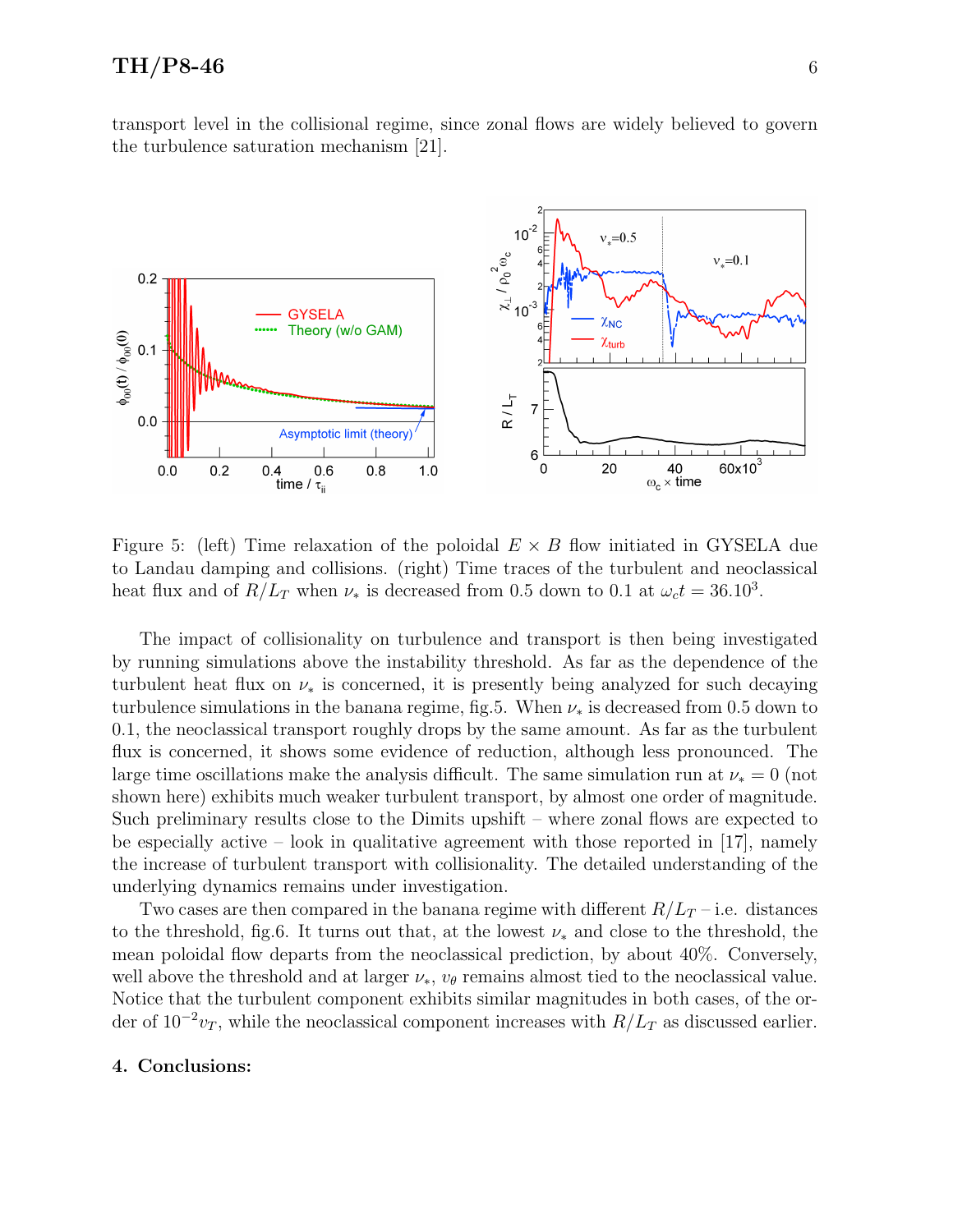## $TH/P8-46$  6

transport level in the collisional regime, since zonal flows are widely believed to govern the turbulence saturation mechanism [21].



Figure 5: (left) Time relaxation of the poloidal  $E \times B$  flow initiated in GYSELA due to Landau damping and collisions. (right) Time traces of the turbulent and neoclassical heat flux and of  $R/L_T$  when  $\nu_*$  is decreased from 0.5 down to 0.1 at  $\omega_c t = 36.10^3$ .

The impact of collisionality on turbulence and transport is then being investigated by running simulations above the instability threshold. As far as the dependence of the turbulent heat flux on  $\nu_*$  is concerned, it is presently being analyzed for such decaying turbulence simulations in the banana regime, fig.5. When  $\nu_*$  is decreased from 0.5 down to 0.1, the neoclassical transport roughly drops by the same amount. As far as the turbulent flux is concerned, it shows some evidence of reduction, although less pronounced. The large time oscillations make the analysis difficult. The same simulation run at  $\nu_* = 0$  (not shown here) exhibits much weaker turbulent transport, by almost one order of magnitude. Such preliminary results close to the Dimits upshift – where zonal flows are expected to be especially active – look in qualitative agreement with those reported in  $[17]$ , namely the increase of turbulent transport with collisionality. The detailed understanding of the underlying dynamics remains under investigation.

Two cases are then compared in the banana regime with different  $R/L_T$  – i.e. distances to the threshold, fig.6. It turns out that, at the lowest  $\nu_*$  and close to the threshold, the mean poloidal flow departs from the neoclassical prediction, by about 40%. Conversely, well above the threshold and at larger  $\nu_*, v_\theta$  remains almost tied to the neoclassical value. Notice that the turbulent component exhibits similar magnitudes in both cases, of the order of  $10^{-2}v_T$ , while the neoclassical component increases with  $R/L_T$  as discussed earlier.

#### 4. Conclusions: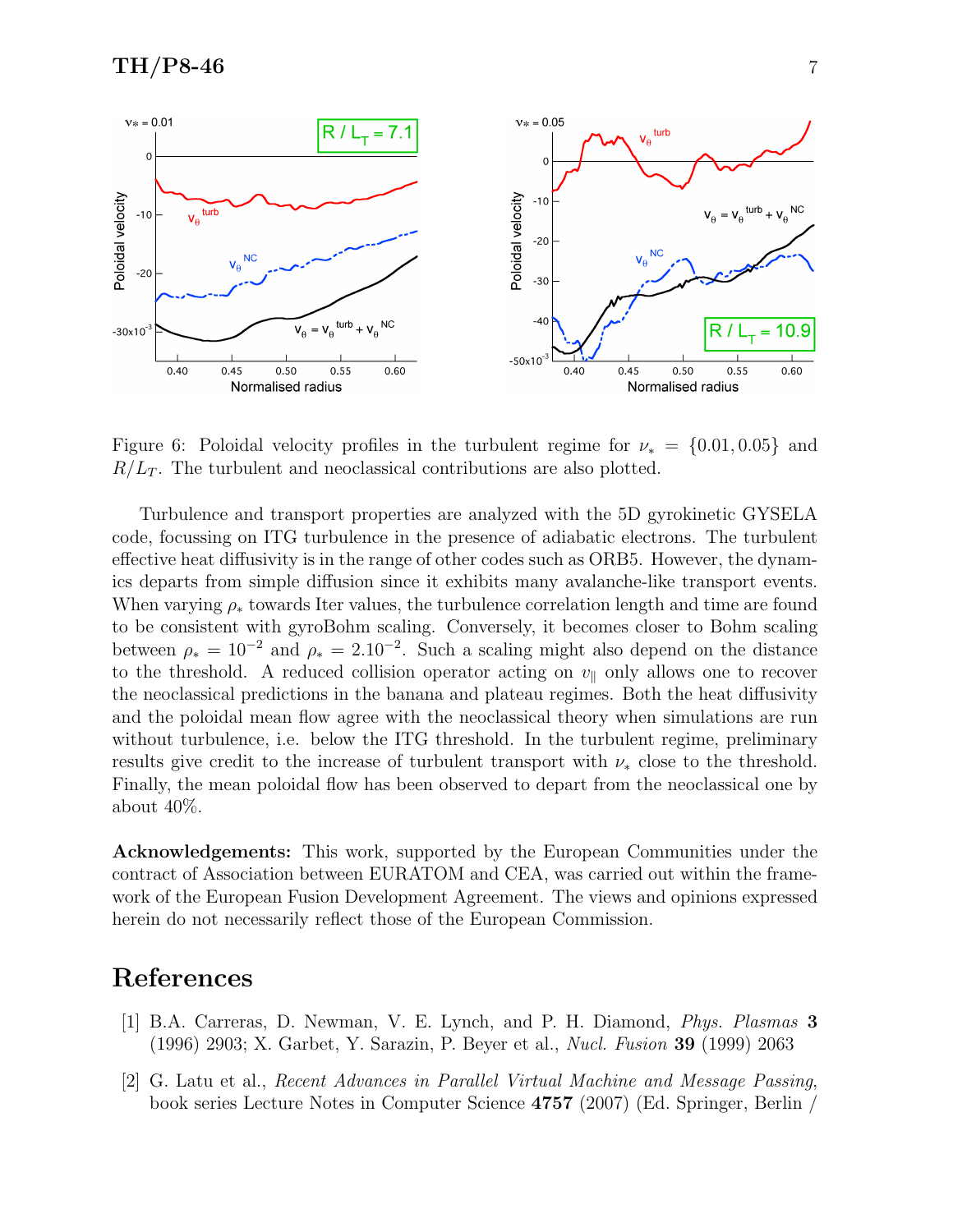

Figure 6: Poloidal velocity profiles in the turbulent regime for  $\nu_* = \{0.01, 0.05\}$  and  $R/L_T$ . The turbulent and neoclassical contributions are also plotted.

Turbulence and transport properties are analyzed with the 5D gyrokinetic GYSELA code, focussing on ITG turbulence in the presence of adiabatic electrons. The turbulent effective heat diffusivity is in the range of other codes such as ORB5. However, the dynamics departs from simple diffusion since it exhibits many avalanche-like transport events. When varying  $\rho_*$  towards Iter values, the turbulence correlation length and time are found to be consistent with gyroBohm scaling. Conversely, it becomes closer to Bohm scaling between  $\rho_* = 10^{-2}$  and  $\rho_* = 2.10^{-2}$ . Such a scaling might also depend on the distance to the threshold. A reduced collision operator acting on  $v_{\parallel}$  only allows one to recover the neoclassical predictions in the banana and plateau regimes. Both the heat diffusivity and the poloidal mean flow agree with the neoclassical theory when simulations are run without turbulence, i.e. below the ITG threshold. In the turbulent regime, preliminary results give credit to the increase of turbulent transport with  $\nu_*$  close to the threshold. Finally, the mean poloidal flow has been observed to depart from the neoclassical one by about 40%.

Acknowledgements: This work, supported by the European Communities under the contract of Association between EURATOM and CEA, was carried out within the framework of the European Fusion Development Agreement. The views and opinions expressed herein do not necessarily reflect those of the European Commission.

# References

- [1] B.A. Carreras, D. Newman, V. E. Lynch, and P. H. Diamond, Phys. Plasmas 3 (1996) 2903; X. Garbet, Y. Sarazin, P. Beyer et al., Nucl. Fusion 39 (1999) 2063
- [2] G. Latu et al., Recent Advances in Parallel Virtual Machine and Message Passing, book series Lecture Notes in Computer Science 4757 (2007) (Ed. Springer, Berlin /